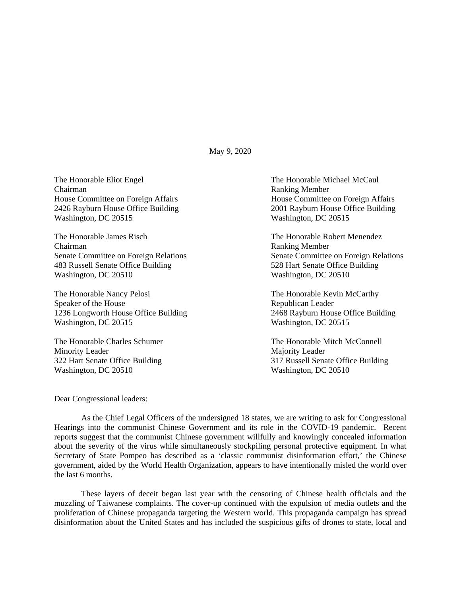May 9, 2020

The Honorable Eliot Engel The Honorable Michael McCaul Chairman Ranking Member Washington, DC 20515 Washington, DC 20515

The Honorable James Risch The Honorable Robert Menendez Chairman Ranking Member 483 Russell Senate Office Building Washington, DC 20510 Washington, DC 20510

The Honorable Nancy Pelosi **The Honorable Kevin McCarthy** Speaker of the House Speaker of the House Republican Leader 1236 Longworth House Office Building 2468 Rayburn House Office Building Washington, DC 20515 Washington, DC 20515

Minority Leader Majority Leader Washington, DC 20510 Washington, DC 20510

House Committee on Foreign Affairs **House Committee on Foreign Affairs** 2426 Rayburn House Office Building 2001 Rayburn House Office Building

Senate Committee on Foreign Relations<br>
483 Russell Senate Office Building<br>
528 Hart Senate Office Building<br>
528 Hart Senate Office Building

The Honorable Charles Schumer The Honorable Mitch McConnell 322 Hart Senate Office Building 317 Russell Senate Office Building

Dear Congressional leaders:

As the Chief Legal Officers of the undersigned 18 states, we are writing to ask for Congressional Hearings into the communist Chinese Government and its role in the COVID-19 pandemic. Recent reports suggest that the communist Chinese government willfully and knowingly concealed information about the severity of the virus while simultaneously stockpiling personal protective equipment. In what Secretary of State Pompeo has described as a 'classic communist disinformation effort,' the Chinese government, aided by the World Health Organization, appears to have intentionally misled the world over the last 6 months.

These layers of deceit began last year with the censoring of Chinese health officials and the muzzling of Taiwanese complaints. The cover-up continued with the expulsion of media outlets and the proliferation of Chinese propaganda targeting the Western world. This propaganda campaign has spread disinformation about the United States and has included the suspicious gifts of drones to state, local and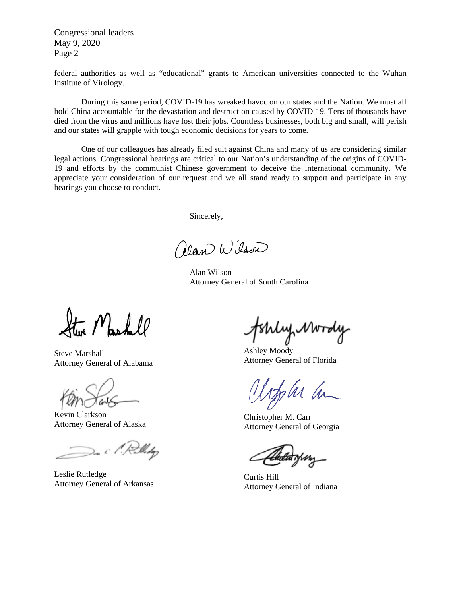Congressional leaders May 9, 2020 Page 2

federal authorities as well as "educational" grants to American universities connected to the Wuhan Institute of Virology.

During this same period, COVID-19 has wreaked havoc on our states and the Nation. We must all hold China accountable for the devastation and destruction caused by COVID-19. Tens of thousands have died from the virus and millions have lost their jobs. Countless businesses, both big and small, will perish and our states will grapple with tough economic decisions for years to come.

One of our colleagues has already filed suit against China and many of us are considering similar legal actions. Congressional hearings are critical to our Nation's understanding of the origins of COVID-19 and efforts by the communist Chinese government to deceive the international community. We appreciate your consideration of our request and we all stand ready to support and participate in any hearings you choose to conduct.

Sincerely,

Near Wilson

 Alan Wilson Attorney General of South Carolina

Reachell

Steve Marshall Attorney General of Alabama

Kevin Clarkson Attorney General of Alaska

De i 1. Rollidge

Leslie Rutledge Attorney General of Arkansas

rly Mordy

Ashley Moody Attorney General of Florida

M h

Christopher M. Carr Attorney General of Georgia

Curtis Hill Attorney General of Indiana